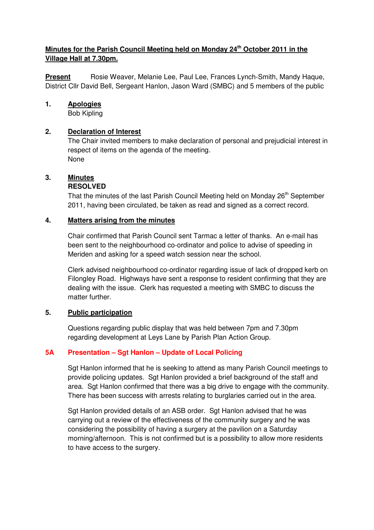# **Minutes for the Parish Council Meeting held on Monday 24th October 2011 in the Village Hall at 7.30pm.**

**Present** Rosie Weaver, Melanie Lee, Paul Lee, Frances Lynch-Smith, Mandy Haque, District Cllr David Bell, Sergeant Hanlon, Jason Ward (SMBC) and 5 members of the public

## **1. Apologies**

Bob Kipling

## **2. Declaration of Interest**

The Chair invited members to make declaration of personal and prejudicial interest in respect of items on the agenda of the meeting. None

## **3. Minutes**

## **RESOLVED**

That the minutes of the last Parish Council Meeting held on Monday 26<sup>th</sup> September 2011, having been circulated, be taken as read and signed as a correct record.

## **4. Matters arising from the minutes**

 Chair confirmed that Parish Council sent Tarmac a letter of thanks. An e-mail has been sent to the neighbourhood co-ordinator and police to advise of speeding in Meriden and asking for a speed watch session near the school.

 Clerk advised neighbourhood co-ordinator regarding issue of lack of dropped kerb on Filongley Road. Highways have sent a response to resident confirming that they are dealing with the issue. Clerk has requested a meeting with SMBC to discuss the matter further.

## **5. Public participation**

 Questions regarding public display that was held between 7pm and 7.30pm regarding development at Leys Lane by Parish Plan Action Group.

## **5A Presentation – Sgt Hanlon – Update of Local Policing**

Sgt Hanlon informed that he is seeking to attend as many Parish Council meetings to provide policing updates. Sgt Hanlon provided a brief background of the staff and area. Sgt Hanlon confirmed that there was a big drive to engage with the community. There has been success with arrests relating to burglaries carried out in the area.

 Sgt Hanlon provided details of an ASB order. Sgt Hanlon advised that he was carrying out a review of the effectiveness of the community surgery and he was considering the possibility of having a surgery at the pavilion on a Saturday morning/afternoon. This is not confirmed but is a possibility to allow more residents to have access to the surgery.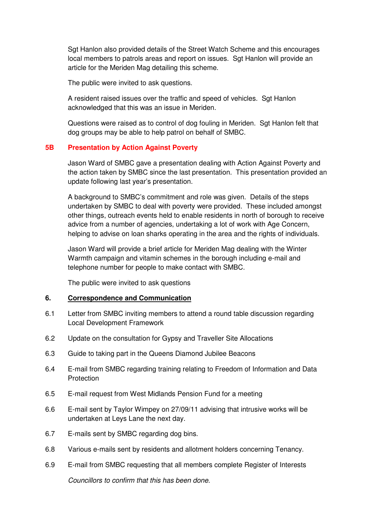Sgt Hanlon also provided details of the Street Watch Scheme and this encourages local members to patrols areas and report on issues. Sgt Hanlon will provide an article for the Meriden Mag detailing this scheme.

The public were invited to ask questions.

 A resident raised issues over the traffic and speed of vehicles. Sgt Hanlon acknowledged that this was an issue in Meriden.

 Questions were raised as to control of dog fouling in Meriden. Sgt Hanlon felt that dog groups may be able to help patrol on behalf of SMBC.

## **5B Presentation by Action Against Poverty**

Jason Ward of SMBC gave a presentation dealing with Action Against Poverty and the action taken by SMBC since the last presentation. This presentation provided an update following last year's presentation.

 A background to SMBC's commitment and role was given. Details of the steps undertaken by SMBC to deal with poverty were provided. These included amongst other things, outreach events held to enable residents in north of borough to receive advice from a number of agencies, undertaking a lot of work with Age Concern, helping to advise on loan sharks operating in the area and the rights of individuals.

 Jason Ward will provide a brief article for Meriden Mag dealing with the Winter Warmth campaign and vitamin schemes in the borough including e-mail and telephone number for people to make contact with SMBC.

The public were invited to ask questions

## **6. Correspondence and Communication**

- 6.1 Letter from SMBC inviting members to attend a round table discussion regarding Local Development Framework
- 6.2 Update on the consultation for Gypsy and Traveller Site Allocations
- 6.3 Guide to taking part in the Queens Diamond Jubilee Beacons
- 6.4 E-mail from SMBC regarding training relating to Freedom of Information and Data **Protection**
- 6.5 E-mail request from West Midlands Pension Fund for a meeting
- 6.6 E-mail sent by Taylor Wimpey on 27/09/11 advising that intrusive works will be undertaken at Leys Lane the next day.
- 6.7 E-mails sent by SMBC regarding dog bins.
- 6.8 Various e-mails sent by residents and allotment holders concerning Tenancy.
- 6.9 E-mail from SMBC requesting that all members complete Register of Interests Councillors to confirm that this has been done.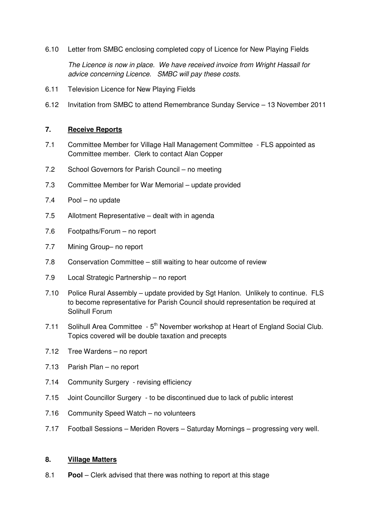6.10 Letter from SMBC enclosing completed copy of Licence for New Playing Fields

The Licence is now in place. We have received invoice from Wright Hassall for advice concerning Licence. SMBC will pay these costs.

- 6.11 Television Licence for New Playing Fields
- 6.12 Invitation from SMBC to attend Remembrance Sunday Service 13 November 2011

## **7. Receive Reports**

- 7.1 Committee Member for Village Hall Management Committee FLS appointed as Committee member. Clerk to contact Alan Copper
- 7.2 School Governors for Parish Council no meeting
- 7.3 Committee Member for War Memorial update provided
- 7.4 Pool no update
- 7.5 Allotment Representative dealt with in agenda
- 7.6 Footpaths/Forum no report
- 7.7 Mining Group– no report
- 7.8 Conservation Committee still waiting to hear outcome of review
- 7.9 Local Strategic Partnership no report
- 7.10 Police Rural Assembly update provided by Sgt Hanlon. Unlikely to continue. FLS to become representative for Parish Council should representation be required at Solihull Forum
- 7.11 Solihull Area Committee 5<sup>th</sup> November workshop at Heart of England Social Club. Topics covered will be double taxation and precepts
- 7.12 Tree Wardens no report
- 7.13 Parish Plan no report
- 7.14 Community Surgery revising efficiency
- 7.15 Joint Councillor Surgery to be discontinued due to lack of public interest
- 7.16 Community Speed Watch no volunteers
- 7.17 Football Sessions Meriden Rovers Saturday Mornings progressing very well.

## **8. Village Matters**

8.1 **Pool** – Clerk advised that there was nothing to report at this stage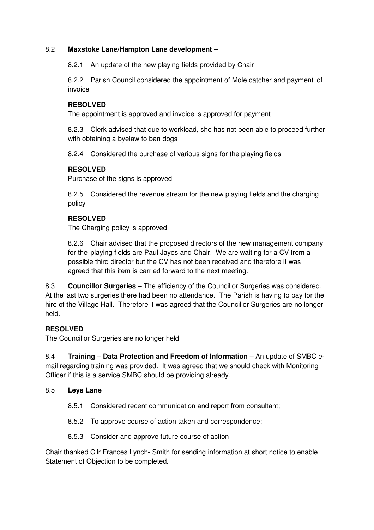## 8.2 **Maxstoke Lane/Hampton Lane development –**

8.2.1 An update of the new playing fields provided by Chair

8.2.2 Parish Council considered the appointment of Mole catcher and payment of invoice

## **RESOLVED**

The appointment is approved and invoice is approved for payment

8.2.3 Clerk advised that due to workload, she has not been able to proceed further with obtaining a byelaw to ban dogs

8.2.4 Considered the purchase of various signs for the playing fields

# **RESOLVED**

Purchase of the signs is approved

 8.2.5 Considered the revenue stream for the new playing fields and the charging policy

# **RESOLVED**

The Charging policy is approved

8.2.6 Chair advised that the proposed directors of the new management company for the playing fields are Paul Jayes and Chair. We are waiting for a CV from a possible third director but the CV has not been received and therefore it was agreed that this item is carried forward to the next meeting.

8.3 **Councillor Surgeries –** The efficiency of the Councillor Surgeries was considered. At the last two surgeries there had been no attendance. The Parish is having to pay for the hire of the Village Hall. Therefore it was agreed that the Councillor Surgeries are no longer held.

# **RESOLVED**

The Councillor Surgeries are no longer held

8.4 **Training – Data Protection and Freedom of Information –** An update of SMBC email regarding training was provided. It was agreed that we should check with Monitoring Officer if this is a service SMBC should be providing already.

## 8.5 **Leys Lane**

- 8.5.1 Considered recent communication and report from consultant;
- 8.5.2 To approve course of action taken and correspondence;
- 8.5.3 Consider and approve future course of action

Chair thanked Cllr Frances Lynch- Smith for sending information at short notice to enable Statement of Objection to be completed.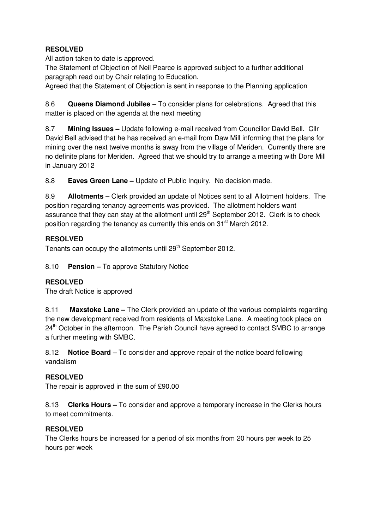# **RESOLVED**

All action taken to date is approved.

The Statement of Objection of Neil Pearce is approved subject to a further additional paragraph read out by Chair relating to Education.

Agreed that the Statement of Objection is sent in response to the Planning application

8.6 **Queens Diamond Jubilee** – To consider plans for celebrations. Agreed that this matter is placed on the agenda at the next meeting

8.7 **Mining Issues –** Update following e-mail received from Councillor David Bell. Cllr David Bell advised that he has received an e-mail from Daw Mill informing that the plans for mining over the next twelve months is away from the village of Meriden. Currently there are no definite plans for Meriden. Agreed that we should try to arrange a meeting with Dore Mill in January 2012

8.8 **Eaves Green Lane –** Update of Public Inquiry. No decision made.

8.9 **Allotments –** Clerk provided an update of Notices sent to all Allotment holders. The position regarding tenancy agreements was provided. The allotment holders want assurance that they can stay at the allotment until  $29<sup>th</sup>$  September 2012. Clerk is to check position regarding the tenancy as currently this ends on 31<sup>st</sup> March 2012.

## **RESOLVED**

Tenants can occupy the allotments until 29<sup>th</sup> September 2012.

8.10 **Pension –** To approve Statutory Notice

## **RESOLVED**

The draft Notice is approved

8.11 **Maxstoke Lane –** The Clerk provided an update of the various complaints regarding the new development received from residents of Maxstoke Lane. A meeting took place on 24<sup>th</sup> October in the afternoon. The Parish Council have agreed to contact SMBC to arrange a further meeting with SMBC.

8.12 **Notice Board –** To consider and approve repair of the notice board following vandalism

## **RESOLVED**

The repair is approved in the sum of £90.00

8.13 **Clerks Hours –** To consider and approve a temporary increase in the Clerks hours to meet commitments.

## **RESOLVED**

The Clerks hours be increased for a period of six months from 20 hours per week to 25 hours per week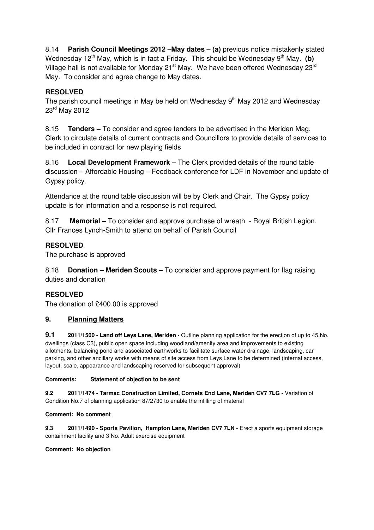8.14 **Parish Council Meetings 2012** –**May dates – (a)** previous notice mistakenly stated Wednesday  $12<sup>th</sup>$  May, which is in fact a Friday. This should be Wednesday  $9<sup>th</sup>$  May. (b) Village hall is not available for Monday 21<sup>st</sup> May. We have been offered Wednesday 23<sup>rd</sup> May. To consider and agree change to May dates.

# **RESOLVED**

The parish council meetings in May be held on Wednesday  $9<sup>th</sup>$  May 2012 and Wednesday 23rd May 2012

8.15 **Tenders –** To consider and agree tenders to be advertised in the Meriden Mag. Clerk to circulate details of current contracts and Councillors to provide details of services to be included in contract for new playing fields

8.16 **Local Development Framework –** The Clerk provided details of the round table discussion – Affordable Housing – Feedback conference for LDF in November and update of Gypsy policy.

Attendance at the round table discussion will be by Clerk and Chair. The Gypsy policy update is for information and a response is not required.

8.17 **Memorial –** To consider and approve purchase of wreath - Royal British Legion. Cllr Frances Lynch-Smith to attend on behalf of Parish Council

## **RESOLVED**

The purchase is approved

8.18 **Donation – Meriden Scouts** – To consider and approve payment for flag raising duties and donation

## **RESOLVED**

The donation of £400.00 is approved

## **9. Planning Matters**

**9.1 2011/1500 - Land off Leys Lane, Meriden** - Outline planning application for the erection of up to 45 No. dwellings (class C3), public open space including woodland/amenity area and improvements to existing allotments, balancing pond and associated earthworks to facilitate surface water drainage, landscaping, car parking, and other ancillary works with means of site access from Leys Lane to be determined (internal access, layout, scale, appearance and landscaping reserved for subsequent approval)

## **Comments: Statement of objection to be sent**

**9.2 2011/1474 - Tarmac Construction Limited, Cornets End Lane, Meriden CV7 7LG** - Variation of Condition No.7 of planning application 87/2730 to enable the infilling of material

#### **Comment: No comment**

**9.3 2011/1490 - Sports Pavilion, Hampton Lane, Meriden CV7 7LN** - Erect a sports equipment storage containment facility and 3 No. Adult exercise equipment

#### **Comment: No objection**